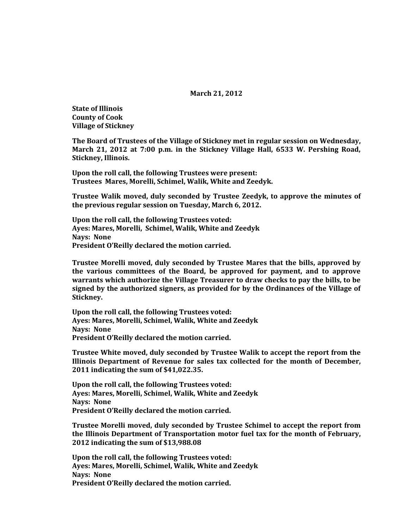**March 21, 2012**

**State of Illinois County of Cook Village of Stickney**

**The Board of Trustees of the Village of Stickney met in regular session on Wednesday, March 21, 2012 at 7:00 p.m. in the Stickney Village Hall, 6533 W. Pershing Road, Stickney, Illinois.**

**Upon the roll call, the following Trustees were present: Trustees Mares, Morelli, Schimel, Walik, White and Zeedyk.** 

**Trustee Walik moved, duly seconded by Trustee Zeedyk, to approve the minutes of the previous regular session on Tuesday, March 6, 2012.**

**Upon the roll call, the following Trustees voted: Ayes: Mares, Morelli, Schimel, Walik, White and Zeedyk Nays: None President O'Reilly declared the motion carried.**

**Trustee Morelli moved, duly seconded by Trustee Mares that the bills, approved by the various committees of the Board, be approved for payment, and to approve warrants which authorize the Village Treasurer to draw checks to pay the bills, to be signed by the authorized signers, as provided for by the Ordinances of the Village of Stickney.**

**Upon the roll call, the following Trustees voted: Ayes: Mares, Morelli, Schimel, Walik, White and Zeedyk Nays: None President O'Reilly declared the motion carried.**

**Trustee White moved, duly seconded by Trustee Walik to accept the report from the Illinois Department of Revenue for sales tax collected for the month of December, 2011 indicating the sum of \$41,022.35.**

**Upon the roll call, the following Trustees voted: Ayes: Mares, Morelli, Schimel, Walik, White and Zeedyk Nays: None President O'Reilly declared the motion carried.**

**Trustee Morelli moved, duly seconded by Trustee Schimel to accept the report from the Illinois Department of Transportation motor fuel tax for the month of February, 2012 indicating the sum of \$13,988.08**

**Upon the roll call, the following Trustees voted: Ayes: Mares, Morelli, Schimel, Walik, White and Zeedyk Nays: None President O'Reilly declared the motion carried.**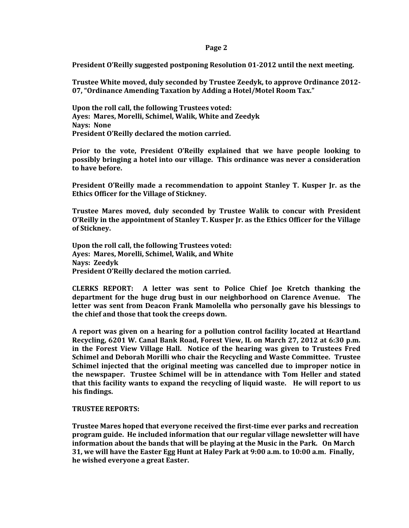#### **Page 2**

**President O'Reilly suggested postponing Resolution 01-2012 until the next meeting.**

**Trustee White moved, duly seconded by Trustee Zeedyk, to approve Ordinance 2012- 07, "Ordinance Amending Taxation by Adding a Hotel/Motel Room Tax."** 

**Upon the roll call, the following Trustees voted: Ayes: Mares, Morelli, Schimel, Walik, White and Zeedyk Nays: None President O'Reilly declared the motion carried.**

**Prior to the vote, President O'Reilly explained that we have people looking to possibly bringing a hotel into our village. This ordinance was never a consideration to have before.** 

**President O'Reilly made a recommendation to appoint Stanley T. Kusper Jr. as the Ethics Officer for the Village of Stickney.**

**Trustee Mares moved, duly seconded by Trustee Walik to concur with President O'Reilly in the appointment of Stanley T. Kusper Jr. as the Ethics Officer for the Village of Stickney.**

**Upon the roll call, the following Trustees voted: Ayes: Mares, Morelli, Schimel, Walik, and White Nays: Zeedyk President O'Reilly declared the motion carried.**

**CLERKS REPORT: A letter was sent to Police Chief Joe Kretch thanking the department for the huge drug bust in our neighborhood on Clarence Avenue. The letter was sent from Deacon Frank Mamolella who personally gave his blessings to the chief and those that took the creeps down.**

**A report was given on a hearing for a pollution control facility located at Heartland Recycling, 6201 W. Canal Bank Road, Forest View, IL on March 27, 2012 at 6:30 p.m. in the Forest View Village Hall. Notice of the hearing was given to Trustees Fred Schimel and Deborah Morilli who chair the Recycling and Waste Committee. Trustee Schimel injected that the original meeting was cancelled due to improper notice in the newspaper. Trustee Schimel will be in attendance with Tom Heller and stated that this facility wants to expand the recycling of liquid waste. He will report to us his findings.**

## **TRUSTEE REPORTS:**

**Trustee Mares hoped that everyone received the first-time ever parks and recreation program guide. He included information that our regular village newsletter will have information about the bands that will be playing at the Music in the Park. On March 31, we will have the Easter Egg Hunt at Haley Park at 9:00 a.m. to 10:00 a.m. Finally, he wished everyone a great Easter.**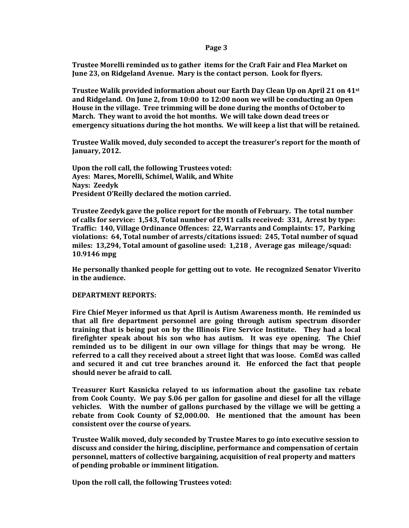#### **Page 3**

**Trustee Morelli reminded us to gather items for the Craft Fair and Flea Market on June 23, on Ridgeland Avenue. Mary is the contact person. Look for flyers.** 

**Trustee Walik provided information about our Earth Day Clean Up on April 21 on 41st and Ridgeland. On June 2, from 10:00 to 12:00 noon we will be conducting an Open House in the village. Tree trimming will be done during the months of October to March. They want to avoid the hot months. We will take down dead trees or emergency situations during the hot months. We will keep a list that will be retained.** 

**Trustee Walik moved, duly seconded to accept the treasurer's report for the month of January, 2012.**

**Upon the roll call, the following Trustees voted: Ayes: Mares, Morelli, Schimel, Walik, and White Nays: Zeedyk President O'Reilly declared the motion carried.**

**Trustee Zeedyk gave the police report for the month of February. The total number of calls for service: 1,543, Total number of E911 calls received: 331, Arrest by type: Traffic: 140, Village Ordinance Offences: 22, Warrants and Complaints: 17, Parking violations: 64, Total number of arrests/citations issued: 245, Total number of squad miles: 13,294, Total amount of gasoline used: 1,218 , Average gas mileage/squad: 10.9146 mpg**

**He personally thanked people for getting out to vote. He recognized Senator Viverito in the audience.**

## **DEPARTMENT REPORTS:**

**Fire Chief Meyer informed us that April is Autism Awareness month. He reminded us that all fire department personnel are going through autism spectrum disorder training that is being put on by the Illinois Fire Service Institute. They had a local firefighter speak about his son who has autism. It was eye opening. The Chief reminded us to be diligent in our own village for things that may be wrong. He referred to a call they received about a street light that was loose. ComEd was called and secured it and cut tree branches around it. He enforced the fact that people should never be afraid to call.**

**Treasurer Kurt Kasnicka relayed to us information about the gasoline tax rebate from Cook County. We pay \$.06 per gallon for gasoline and diesel for all the village vehicles. With the number of gallons purchased by the village we will be getting a rebate from Cook County of \$2,000.00. He mentioned that the amount has been consistent over the course of years.** 

**Trustee Walik moved, duly seconded by Trustee Mares to go into executive session to discuss and consider the hiring, discipline, performance and compensation of certain personnel, matters of collective bargaining, acquisition of real property and matters of pending probable or imminent litigation.** 

**Upon the roll call, the following Trustees voted:**